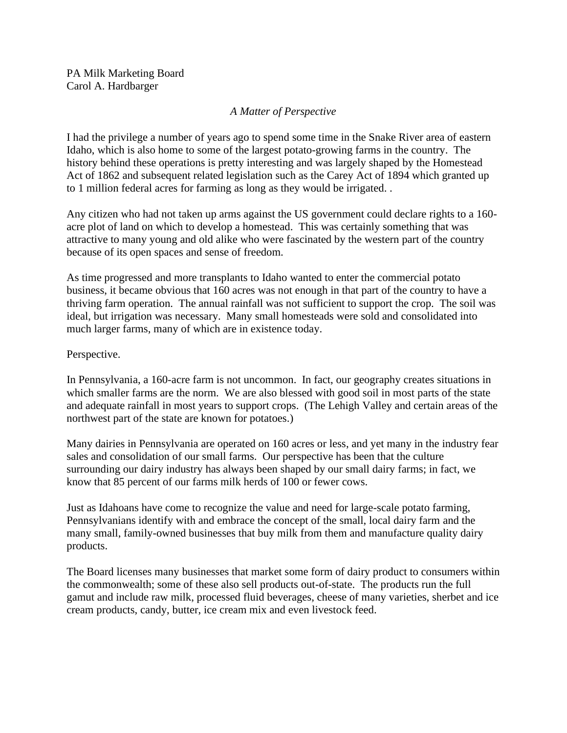PA Milk Marketing Board Carol A. Hardbarger

## *A Matter of Perspective*

I had the privilege a number of years ago to spend some time in the Snake River area of eastern Idaho, which is also home to some of the largest potato-growing farms in the country. The history behind these operations is pretty interesting and was largely shaped by the Homestead Act of 1862 and subsequent related legislation such as the Carey Act of 1894 which granted up to 1 million federal acres for farming as long as they would be irrigated. .

Any citizen who had not taken up arms against the US government could declare rights to a 160 acre plot of land on which to develop a homestead. This was certainly something that was attractive to many young and old alike who were fascinated by the western part of the country because of its open spaces and sense of freedom.

As time progressed and more transplants to Idaho wanted to enter the commercial potato business, it became obvious that 160 acres was not enough in that part of the country to have a thriving farm operation. The annual rainfall was not sufficient to support the crop. The soil was ideal, but irrigation was necessary. Many small homesteads were sold and consolidated into much larger farms, many of which are in existence today.

## Perspective.

In Pennsylvania, a 160-acre farm is not uncommon. In fact, our geography creates situations in which smaller farms are the norm. We are also blessed with good soil in most parts of the state and adequate rainfall in most years to support crops. (The Lehigh Valley and certain areas of the northwest part of the state are known for potatoes.)

Many dairies in Pennsylvania are operated on 160 acres or less, and yet many in the industry fear sales and consolidation of our small farms. Our perspective has been that the culture surrounding our dairy industry has always been shaped by our small dairy farms; in fact, we know that 85 percent of our farms milk herds of 100 or fewer cows.

Just as Idahoans have come to recognize the value and need for large-scale potato farming, Pennsylvanians identify with and embrace the concept of the small, local dairy farm and the many small, family-owned businesses that buy milk from them and manufacture quality dairy products.

The Board licenses many businesses that market some form of dairy product to consumers within the commonwealth; some of these also sell products out-of-state. The products run the full gamut and include raw milk, processed fluid beverages, cheese of many varieties, sherbet and ice cream products, candy, butter, ice cream mix and even livestock feed.